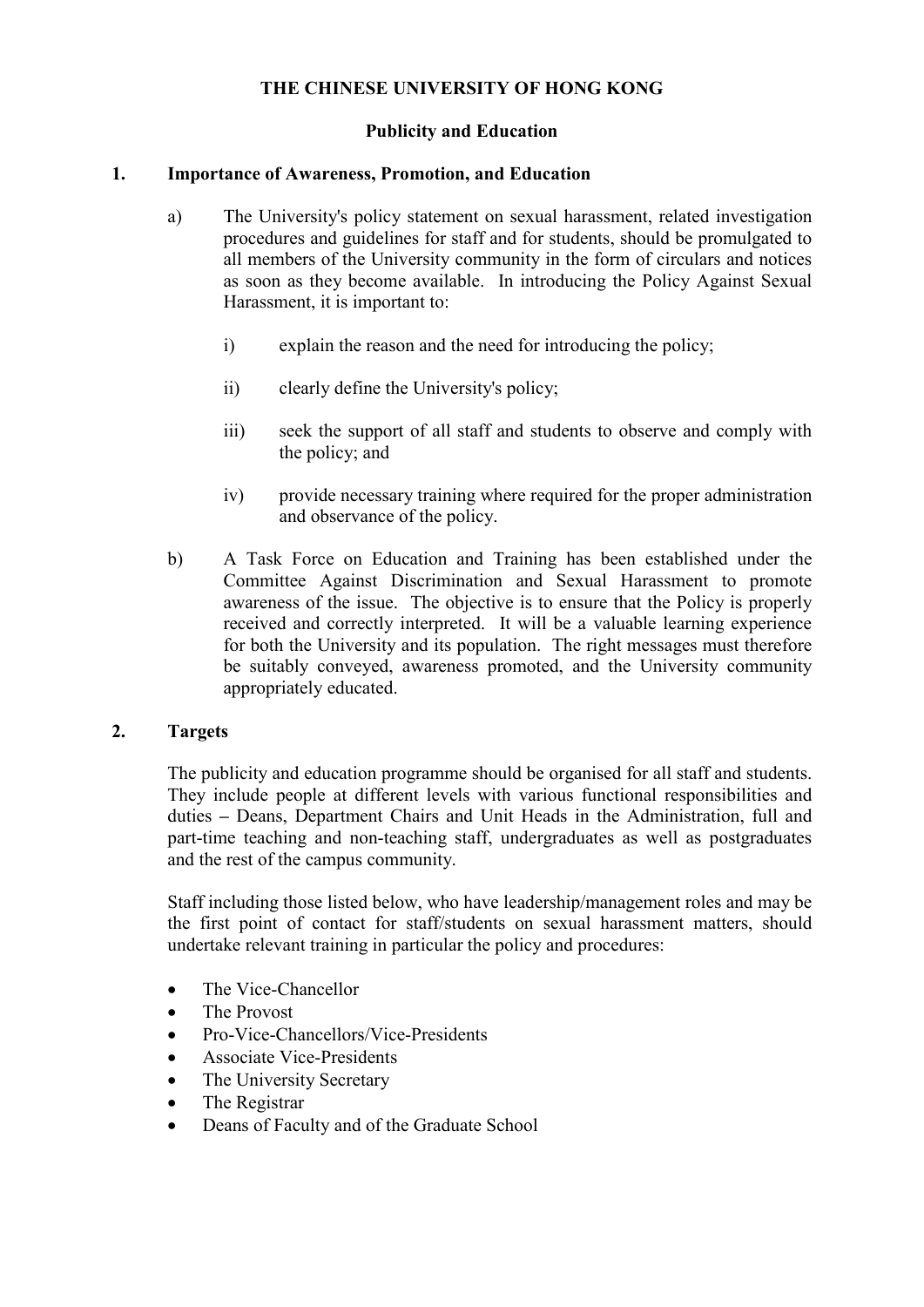# **THE CHINESE UNIVERSITY OF HONG KONG**

# **Publicity and Education**

## **1. Importance of Awareness, Promotion, and Education**

- a) The University's policy statement on sexual harassment, related investigation procedures and guidelines for staff and for students, should be promulgated to all members of the University community in the form of circulars and notices as soon as they become available. In introducing the Policy Against Sexual Harassment, it is important to:
	- i) explain the reason and the need for introducing the policy;
	- ii) clearly define the University's policy;
	- iii) seek the support of all staff and students to observe and comply with the policy; and
	- iv) provide necessary training where required for the proper administration and observance of the policy.
- b) A Task Force on Education and Training has been established under the Committee Against Discrimination and Sexual Harassment to promote awareness of the issue. The objective is to ensure that the Policy is properly received and correctly interpreted. It will be a valuable learning experience for both the University and its population. The right messages must therefore be suitably conveyed, awareness promoted, and the University community appropriately educated.

#### **2. Targets**

The publicity and education programme should be organised for all staff and students. They include people at different levels with various functional responsibilities and duties *–* Deans, Department Chairs and Unit Heads in the Administration, full and part-time teaching and non-teaching staff, undergraduates as well as postgraduates and the rest of the campus community.

Staff including those listed below, who have leadership/management roles and may be the first point of contact for staff/students on sexual harassment matters, should undertake relevant training in particular the policy and procedures:

- The Vice-Chancellor
- The Provost
- Pro-Vice-Chancellors/Vice-Presidents
- Associate Vice-Presidents
- The University Secretary
- The Registrar
- Deans of Faculty and of the Graduate School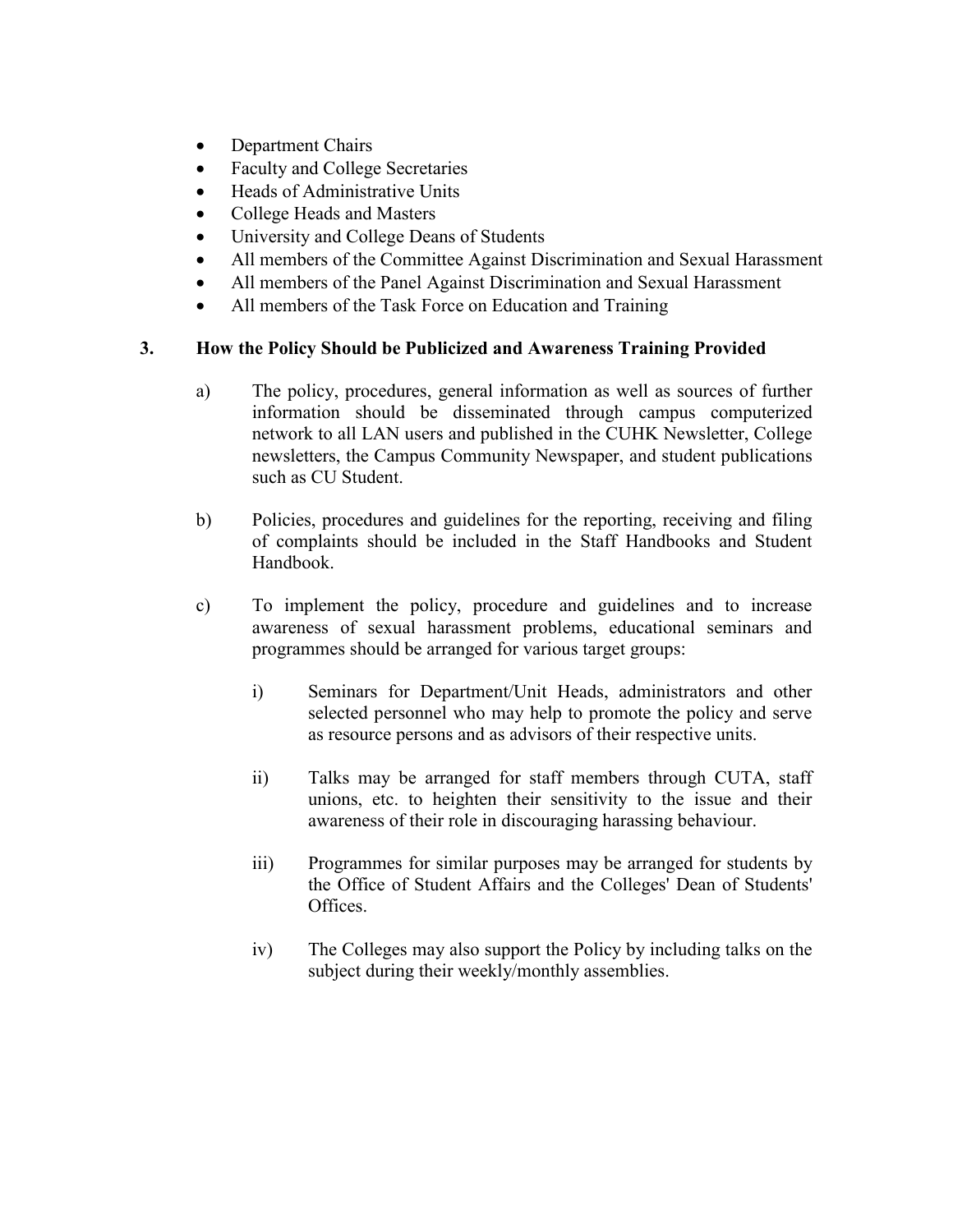- Department Chairs
- Faculty and College Secretaries
- Heads of Administrative Units
- College Heads and Masters
- University and College Deans of Students
- All members of the Committee Against Discrimination and Sexual Harassment
- All members of the Panel Against Discrimination and Sexual Harassment
- All members of the Task Force on Education and Training

## **3. How the Policy Should be Publicized and Awareness Training Provided**

- a) The policy, procedures, general information as well as sources of further information should be disseminated through campus computerized network to all LAN users and published in the CUHK Newsletter, College newsletters, the Campus Community Newspaper, and student publications such as CU Student.
- b) Policies, procedures and guidelines for the reporting, receiving and filing of complaints should be included in the Staff Handbooks and Student Handbook.
- c) To implement the policy, procedure and guidelines and to increase awareness of sexual harassment problems, educational seminars and programmes should be arranged for various target groups:
	- i) Seminars for Department/Unit Heads, administrators and other selected personnel who may help to promote the policy and serve as resource persons and as advisors of their respective units.
	- ii) Talks may be arranged for staff members through CUTA, staff unions, etc. to heighten their sensitivity to the issue and their awareness of their role in discouraging harassing behaviour.
	- iii) Programmes for similar purposes may be arranged for students by the Office of Student Affairs and the Colleges' Dean of Students' Offices.
	- iv) The Colleges may also support the Policy by including talks on the subject during their weekly/monthly assemblies.